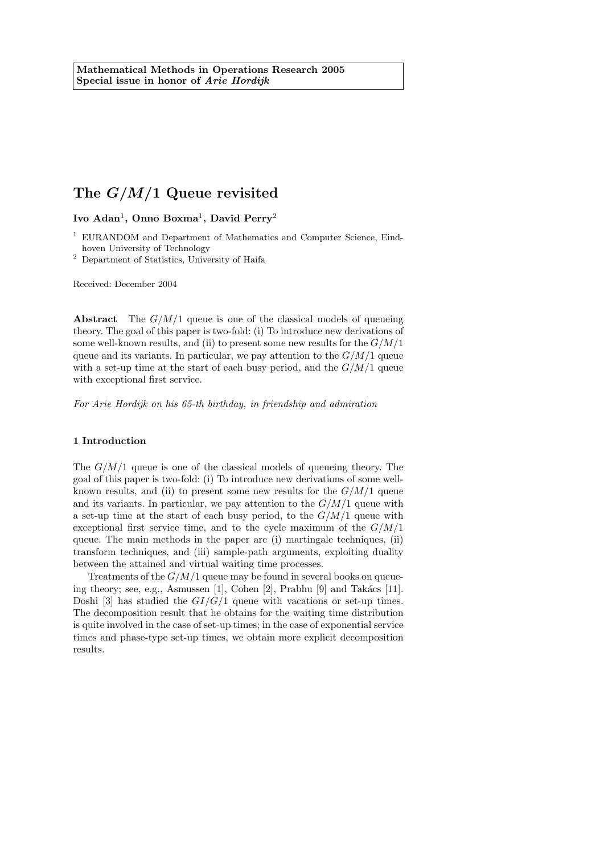Ivo Adan<sup>1</sup>, Onno Boxma<sup>1</sup>, David Perry<sup>2</sup>

<sup>1</sup> EURANDOM and Department of Mathematics and Computer Science, Eindhoven University of Technology

<sup>2</sup> Department of Statistics, University of Haifa

Received: December 2004

**Abstract** The  $G/M/1$  queue is one of the classical models of queueing theory. The goal of this paper is two-fold: (i) To introduce new derivations of some well-known results, and (ii) to present some new results for the  $G/M/1$ queue and its variants. In particular, we pay attention to the  $G/M/1$  queue with a set-up time at the start of each busy period, and the  $G/M/1$  queue with exceptional first service.

For Arie Hordijk on his 65-th birthday, in friendship and admiration

## 1 Introduction

The  $G/M/1$  queue is one of the classical models of queueing theory. The goal of this paper is two-fold: (i) To introduce new derivations of some wellknown results, and (ii) to present some new results for the  $G/M/1$  queue and its variants. In particular, we pay attention to the  $G/M/1$  queue with a set-up time at the start of each busy period, to the  $G/M/1$  queue with exceptional first service time, and to the cycle maximum of the  $G/M/1$ queue. The main methods in the paper are (i) martingale techniques, (ii) transform techniques, and (iii) sample-path arguments, exploiting duality between the attained and virtual waiting time processes.

Treatments of the  $G/M/1$  queue may be found in several books on queueing theory; see, e.g., Asmussen  $[1]$ , Cohen  $[2]$ , Prabhu  $[9]$  and Takács  $[11]$ . Doshi [3] has studied the  $GI/G/1$  queue with vacations or set-up times. The decomposition result that he obtains for the waiting time distribution is quite involved in the case of set-up times; in the case of exponential service times and phase-type set-up times, we obtain more explicit decomposition results.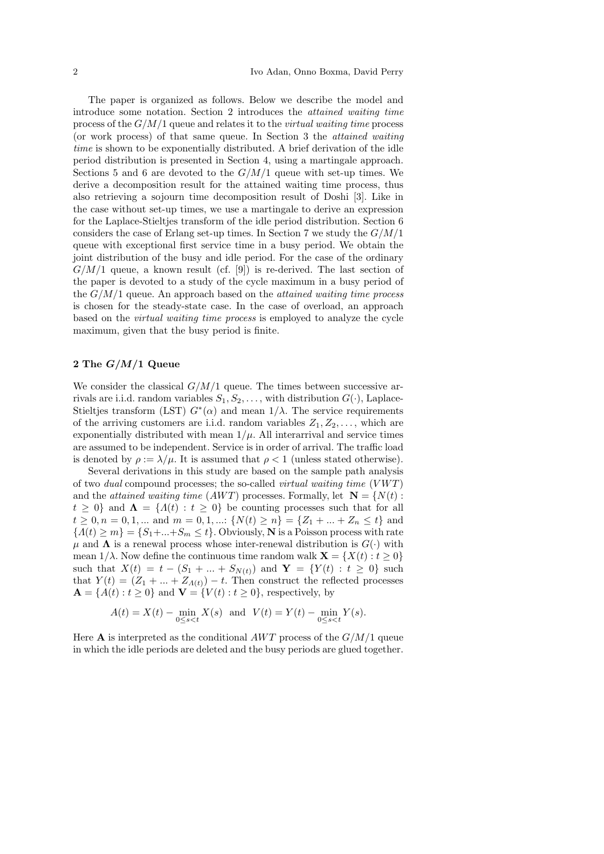The paper is organized as follows. Below we describe the model and introduce some notation. Section 2 introduces the attained waiting time process of the  $G/M/1$  queue and relates it to the *virtual waiting time* process (or work process) of that same queue. In Section 3 the attained waiting time is shown to be exponentially distributed. A brief derivation of the idle period distribution is presented in Section 4, using a martingale approach. Sections 5 and 6 are devoted to the  $G/M/1$  queue with set-up times. We derive a decomposition result for the attained waiting time process, thus also retrieving a sojourn time decomposition result of Doshi [3]. Like in the case without set-up times, we use a martingale to derive an expression for the Laplace-Stieltjes transform of the idle period distribution. Section 6 considers the case of Erlang set-up times. In Section 7 we study the  $G/M/1$ queue with exceptional first service time in a busy period. We obtain the joint distribution of the busy and idle period. For the case of the ordinary  $G/M/1$  queue, a known result (cf. [9]) is re-derived. The last section of the paper is devoted to a study of the cycle maximum in a busy period of the  $G/M/1$  queue. An approach based on the *attained waiting time process* is chosen for the steady-state case. In the case of overload, an approach based on the virtual waiting time process is employed to analyze the cycle maximum, given that the busy period is finite.

## 2 The  $G/M/1$  Queue

We consider the classical  $G/M/1$  queue. The times between successive arrivals are i.i.d. random variables  $S_1, S_2, \ldots$ , with distribution  $G(\cdot)$ , Laplace-Stieltjes transform (LST)  $G^*(\alpha)$  and mean  $1/\lambda$ . The service requirements of the arriving customers are i.i.d. random variables  $Z_1, Z_2, \ldots$ , which are exponentially distributed with mean  $1/\mu$ . All interarrival and service times are assumed to be independent. Service is in order of arrival. The traffic load is denoted by  $\rho := \lambda/\mu$ . It is assumed that  $\rho < 1$  (unless stated otherwise).

Several derivations in this study are based on the sample path analysis of two *dual* compound processes; the so-called *virtual waiting time*  $(VWT)$ and the *attained waiting time (AWT)* processes. Formally, let  $N = \{N(t) :$  $t \geq 0$ } and  $\Lambda = \{A(t) : t \geq 0\}$  be counting processes such that for all  $t \geq 0, n = 0, 1, ...$  and  $m = 0, 1, ...$   $\{N(t) \geq n\} = \{Z_1 + ... + Z_n \leq t\}$  and  ${A(t) \ge m} = {S_1 + ... + S_m \le t}$ . Obviously, **N** is a Poisson process with rate  $\mu$  and  $\Lambda$  is a renewal process whose inter-renewal distribution is  $G(\cdot)$  with mean  $1/\lambda$ . Now define the continuous time random walk  $\mathbf{X} = \{X(t): t \geq 0\}$ such that  $X(t) = t - (S_1 + ... + S_{N(t)})$  and  $Y = \{Y(t) : t \geq 0\}$  such that  $Y(t) = (Z_1 + ... + Z_{\Lambda(t)}) - t$ . Then construct the reflected processes  $\mathbf{A} = \{A(t) : t \geq 0\}$  and  $\mathbf{V} = \{V(t) : t \geq 0\}$ , respectively, by

$$
A(t) = X(t) - \min_{0 \le s < t} X(s) \quad \text{and} \quad V(t) = Y(t) - \min_{0 \le s < t} Y(s).
$$

Here **A** is interpreted as the conditional AWT process of the  $G/M/1$  queue in which the idle periods are deleted and the busy periods are glued together.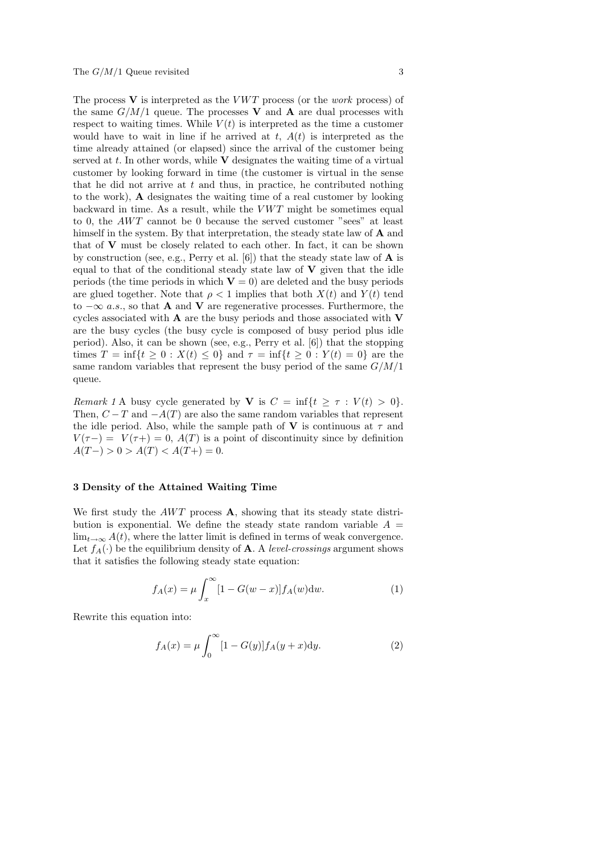The process  $V$  is interpreted as the *VWT* process (or the *work* process) of the same  $G/M/1$  queue. The processes V and A are dual processes with respect to waiting times. While  $V(t)$  is interpreted as the time a customer would have to wait in line if he arrived at t,  $A(t)$  is interpreted as the time already attained (or elapsed) since the arrival of the customer being served at  $t$ . In other words, while  $\bf{V}$  designates the waiting time of a virtual customer by looking forward in time (the customer is virtual in the sense that he did not arrive at  $t$  and thus, in practice, he contributed nothing to the work), A designates the waiting time of a real customer by looking backward in time. As a result, while the  $VWT$  might be sometimes equal to 0, the  $AWT$  cannot be 0 because the served customer "sees" at least himself in the system. By that interpretation, the steady state law of **A** and that of V must be closely related to each other. In fact, it can be shown by construction (see, e.g., Perry et al.  $[6]$ ) that the steady state law of **A** is equal to that of the conditional steady state law of  $V$  given that the idle periods (the time periods in which  $V = 0$ ) are deleted and the busy periods are glued together. Note that  $\rho < 1$  implies that both  $X(t)$  and  $Y(t)$  tend to  $-\infty$  a.s., so that **A** and **V** are regenerative processes. Furthermore, the cycles associated with  $A$  are the busy periods and those associated with  $V$ are the busy cycles (the busy cycle is composed of busy period plus idle period). Also, it can be shown (see, e.g., Perry et al. [6]) that the stopping times  $T = \inf\{t \ge 0 : X(t) \le 0\}$  and  $\tau = \inf\{t \ge 0 : Y(t) = 0\}$  are the same random variables that represent the busy period of the same  $G/M/1$ queue.

Remark 1 A busy cycle generated by **V** is  $C = \inf\{t \geq \tau : V(t) > 0\}.$ Then,  $C-T$  and  $-A(T)$  are also the same random variables that represent the idle period. Also, while the sample path of **V** is continuous at  $\tau$  and  $V(\tau-) = V(\tau+) = 0$ ,  $A(T)$  is a point of discontinuity since by definition  $A(T-) > 0 > A(T) < A(T+) = 0.$ 

#### 3 Density of the Attained Waiting Time

We first study the  $AWT$  process **A**, showing that its steady state distribution is exponential. We define the steady state random variable  $A =$  $\lim_{t\to\infty} A(t)$ , where the latter limit is defined in terms of weak convergence. Let  $f_A(\cdot)$  be the equilibrium density of **A**. A level-crossings argument shows that it satisfies the following steady state equation:

$$
f_A(x) = \mu \int_x^{\infty} [1 - G(w - x)] f_A(w) \mathrm{d}w.
$$
 (1)

Rewrite this equation into:

$$
f_A(x) = \mu \int_0^{\infty} [1 - G(y)] f_A(y + x) dy.
$$
 (2)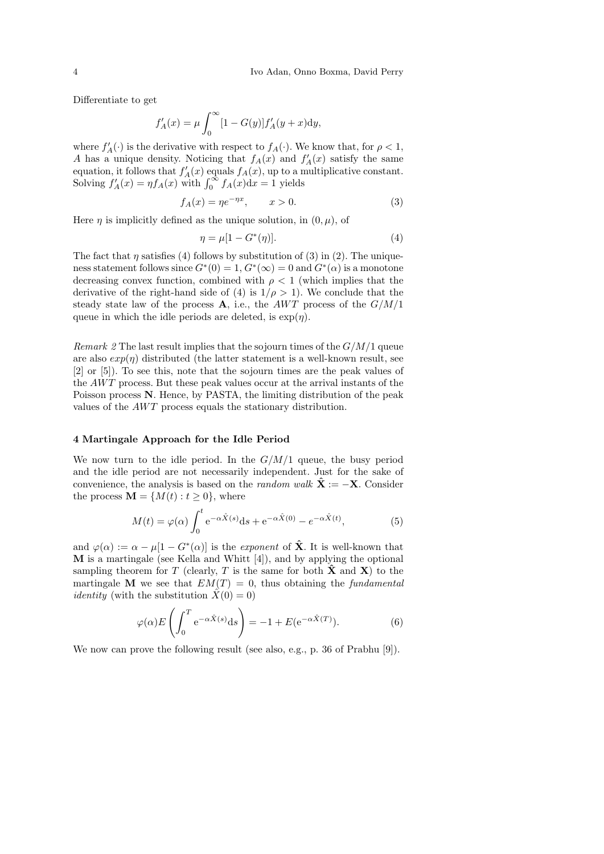Differentiate to get

$$
f'_{A}(x) = \mu \int_0^{\infty} [1 - G(y)] f'_{A}(y + x) dy,
$$

where  $f'_{A}(\cdot)$  is the derivative with respect to  $f_{A}(\cdot)$ . We know that, for  $\rho < 1$ , A has a unique density. Noticing that  $f_A(x)$  and  $f'_A(x)$  satisfy the same equation, it follows that  $f'_{A}(x)$  equals  $f_{A}(x)$ , up to a multiplicative constant. Solving  $f'_A(x) = \eta f_A(x)$  with  $\int_0^\infty f_A(x) dx = 1$  yields

$$
f_A(x) = \eta e^{-\eta x}, \qquad x > 0. \tag{3}
$$

Here  $\eta$  is implicitly defined as the unique solution, in  $(0, \mu)$ , of

$$
\eta = \mu[1 - G^*(\eta)].\tag{4}
$$

The fact that  $\eta$  satisfies (4) follows by substitution of (3) in (2). The uniqueness statement follows since  $G^*(0) = 1, G^*(\infty) = 0$  and  $G^*(\alpha)$  is a monotone decreasing convex function, combined with  $\rho < 1$  (which implies that the derivative of the right-hand side of (4) is  $1/\rho > 1$ ). We conclude that the steady state law of the process  $\bf{A}$ , i.e., the AWT process of the  $G/M/1$ queue in which the idle periods are deleted, is  $\exp(\eta)$ .

*Remark 2* The last result implies that the sojourn times of the  $G/M/1$  queue are also  $exp(\eta)$  distributed (the latter statement is a well-known result, see [2] or [5]). To see this, note that the sojourn times are the peak values of the  $AWT$  process. But these peak values occur at the arrival instants of the Poisson process N. Hence, by PASTA, the limiting distribution of the peak values of the AWT process equals the stationary distribution.

## 4 Martingale Approach for the Idle Period

We now turn to the idle period. In the  $G/M/1$  queue, the busy period and the idle period are not necessarily independent. Just for the sake of convenience, the analysis is based on the *random walk*  $\hat{\mathbf{X}} := -\mathbf{X}$ . Consider the process  $\mathbf{M} = \{M(t) : t \geq 0\}$ , where

$$
M(t) = \varphi(\alpha) \int_0^t e^{-\alpha \hat{X}(s)} ds + e^{-\alpha \hat{X}(0)} - e^{-\alpha \hat{X}(t)},
$$
\n(5)

and  $\varphi(\alpha) := \alpha - \mu[1 - G^*(\alpha)]$  is the *exponent* of  $\hat{\mathbf{X}}$ . It is well-known that M is a martingale (see Kella and Whitt [4]), and by applying the optional sampling theorem for T (clearly, T is the same for both  $\hat{\mathbf{X}}$  and  $\mathbf{X}$ ) to the martingale **M** we see that  $EM(T) = 0$ , thus obtaining the *fundamental identity* (with the substitution  $\hat{X}(0) = 0$ )

$$
\varphi(\alpha) E\left(\int_0^T e^{-\alpha \hat{X}(s)} ds\right) = -1 + E(e^{-\alpha \hat{X}(T)}).
$$
 (6)

We now can prove the following result (see also, e.g., p. 36 of Prabhu [9]).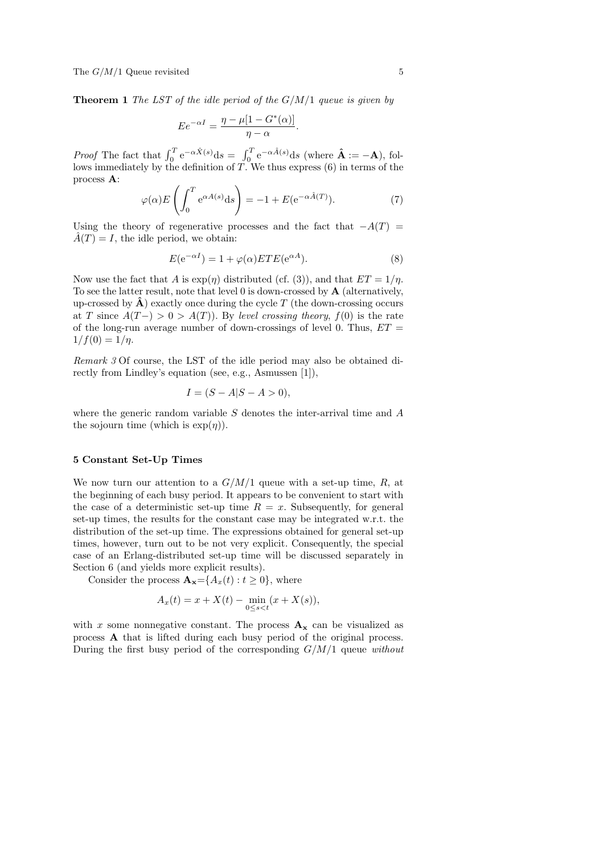**Theorem 1** The LST of the idle period of the  $G/M/1$  queue is given by

$$
E e^{-\alpha I} = \frac{\eta - \mu [1 - G^*(\alpha)]}{\eta - \alpha}
$$

Proof The fact that  $\int_0^T e^{-\alpha \hat{X}(s)} ds = \int_0^T e^{-\alpha \hat{A}(s)} ds$  (where  $\hat{A} := -A$ ), follows immediately by the definition of T. We thus express (6) in terms of the process A:

$$
\varphi(\alpha) E\left(\int_0^T e^{\alpha A(s)} ds\right) = -1 + E(e^{-\alpha \hat{A}(T)}).
$$
\n(7)

Using the theory of regenerative processes and the fact that  $-A(T)$  =  $\hat{A}(T) = I$ , the idle period, we obtain:

$$
E(e^{-\alpha I}) = 1 + \varphi(\alpha) ETE(e^{\alpha A}). \tag{8}
$$

.

Now use the fact that A is  $\exp(\eta)$  distributed (cf. (3)), and that  $ET = 1/\eta$ . To see the latter result, note that level  $0$  is down-crossed by  $A$  (alternatively, up-crossed by  $\hat{A}$ ) exactly once during the cycle T (the down-crossing occurs at T since  $A(T-)>0> A(T)$ ). By level crossing theory,  $f(0)$  is the rate of the long-run average number of down-crossings of level 0. Thus,  $ET =$  $1/f(0) = 1/\eta$ .

Remark 3 Of course, the LST of the idle period may also be obtained directly from Lindley's equation (see, e.g., Asmussen [1]),

$$
I = (S - A|S - A > 0),
$$

where the generic random variable  $S$  denotes the inter-arrival time and  $A$ the sojourn time (which is  $\exp(\eta)$ ).

## 5 Constant Set-Up Times

We now turn our attention to a  $G/M/1$  queue with a set-up time, R, at the beginning of each busy period. It appears to be convenient to start with the case of a deterministic set-up time  $R = x$ . Subsequently, for general set-up times, the results for the constant case may be integrated w.r.t. the distribution of the set-up time. The expressions obtained for general set-up times, however, turn out to be not very explicit. Consequently, the special case of an Erlang-distributed set-up time will be discussed separately in Section 6 (and yields more explicit results).

Consider the process  $\mathbf{A}_{\mathbf{x}} = \{A_x(t) : t \geq 0\}$ , where

$$
A_x(t) = x + X(t) - \min_{0 \le s < t} (x + X(s)),
$$

with x some nonnegative constant. The process  $A_x$  can be visualized as process A that is lifted during each busy period of the original process. During the first busy period of the corresponding  $G/M/1$  queue without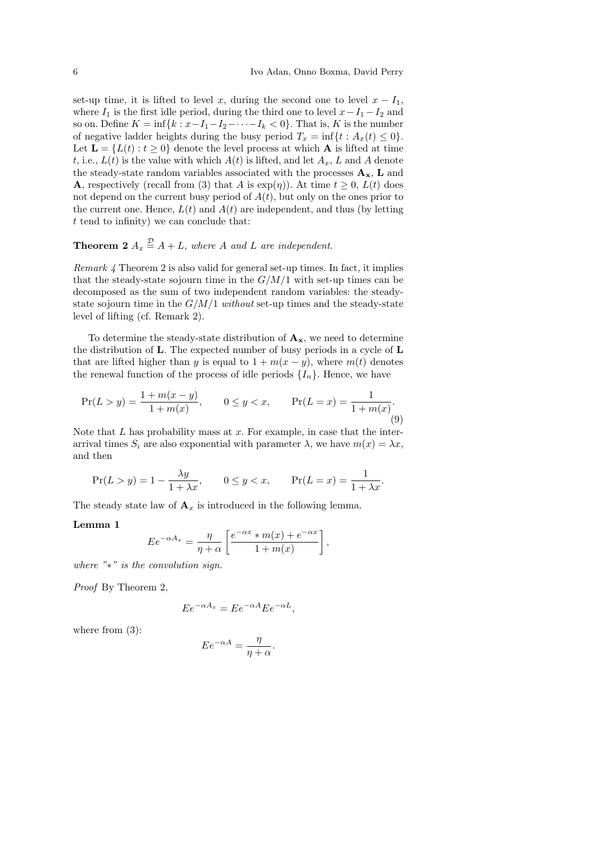set-up time, it is lifted to level x, during the second one to level  $x - I_1$ , where  $I_1$  is the first idle period, during the third one to level  $x-I_1-I_2$  and so on. Define  $K = \inf\{k : x - I_1 - I_2 - \cdots - I_k < 0\}$ . That is, K is the number of negative ladder heights during the busy period  $T_x = \inf\{t : A_x(t) \leq 0\}.$ Let  $\mathbf{L} = \{L(t) : t \geq 0\}$  denote the level process at which **A** is lifted at time t, i.e.,  $L(t)$  is the value with which  $A(t)$  is lifted, and let  $A_x$ , L and A denote the steady-state random variables associated with the processes  $\mathbf{A}_{\mathbf{x}}$ ,  $\mathbf{L}$  and **A**, respectively (recall from (3) that A is  $\exp(\eta)$ ). At time  $t > 0$ ,  $L(t)$  does not depend on the current busy period of  $A(t)$ , but only on the ones prior to the current one. Hence,  $L(t)$  and  $A(t)$  are independent, and thus (by letting t tend to infinity) we can conclude that:

## **Theorem 2**  $A_x \stackrel{\mathcal{D}}{=} A + L$ , where A and L are independent.

Remark 4 Theorem 2 is also valid for general set-up times. In fact, it implies that the steady-state sojourn time in the  $G/M/1$  with set-up times can be decomposed as the sum of two independent random variables: the steadystate sojourn time in the  $G/M/1$  without set-up times and the steady-state level of lifting (cf. Remark 2).

To determine the steady-state distribution of  $\mathbf{A}_{\mathbf{x}}$ , we need to determine the distribution of L. The expected number of busy periods in a cycle of L that are lifted higher than y is equal to  $1 + m(x - y)$ , where  $m(t)$  denotes the renewal function of the process of idle periods  $\{I_n\}$ . Hence, we have

$$
\Pr(L > y) = \frac{1 + m(x - y)}{1 + m(x)}, \qquad 0 \le y < x, \qquad \Pr(L = x) = \frac{1}{1 + m(x)}.
$$
\n<sup>(9)</sup>

Note that  $L$  has probability mass at  $x$ . For example, in case that the interarrival times  $S_i$  are also exponential with parameter  $\lambda$ , we have  $m(x) = \lambda x$ , and then

$$
\Pr(L > y) = 1 - \frac{\lambda y}{1 + \lambda x}, \qquad 0 \le y < x, \qquad \Pr(L = x) = \frac{1}{1 + \lambda x}.
$$

The steady state law of  $\mathbf{A}_x$  is introduced in the following lemma.

## Lemma 1

$$
E e^{-\alpha A_x} = \frac{\eta}{\eta + \alpha} \left[ \frac{e^{-\alpha x} * m(x) + e^{-\alpha x}}{1 + m(x)} \right],
$$

where "∗" is the convolution sign.

Proof By Theorem 2,

$$
E e^{-\alpha A_x} = E e^{-\alpha A} E e^{-\alpha L},
$$

where from (3):

$$
E e^{-\alpha A} = \frac{\eta}{\eta + \alpha}.
$$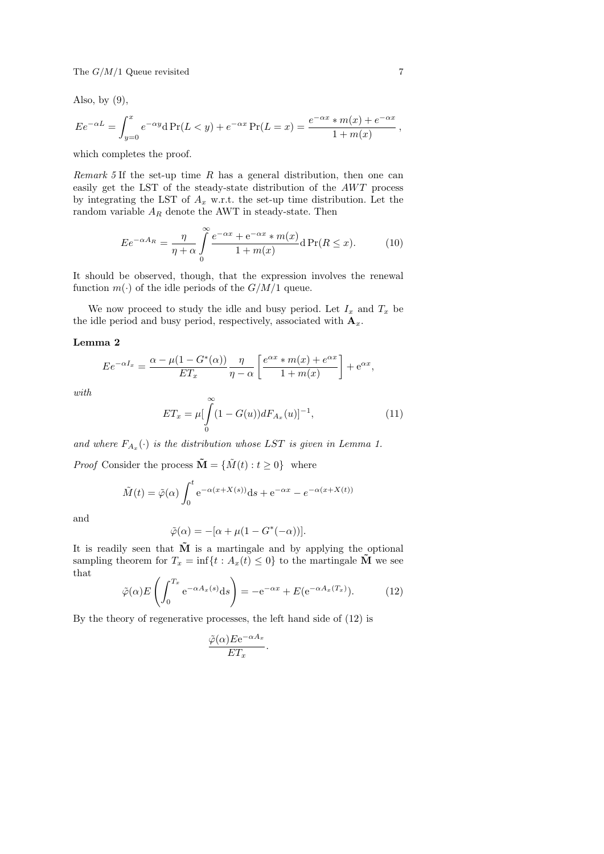Also, by  $(9)$ ,

$$
E e^{-\alpha L} = \int_{y=0}^{x} e^{-\alpha y} d\Pr(L < y) + e^{-\alpha x} \Pr(L = x) = \frac{e^{-\alpha x} * m(x) + e^{-\alpha x}}{1 + m(x)},
$$

which completes the proof.

*Remark 5* If the set-up time  $R$  has a general distribution, then one can easily get the LST of the steady-state distribution of the  $AWT$  process by integrating the LST of  $A_x$  w.r.t. the set-up time distribution. Let the random variable  $\mathcal{A}_R$  denote the AWT in steady-state. Then

$$
E e^{-\alpha A_R} = \frac{\eta}{\eta + \alpha} \int_{0}^{\infty} \frac{e^{-\alpha x} + e^{-\alpha x} * m(x)}{1 + m(x)} d\Pr(R \le x).
$$
 (10)

It should be observed, though, that the expression involves the renewal function  $m(\cdot)$  of the idle periods of the  $G/M/1$  queue.

We now proceed to study the idle and busy period. Let  $I_x$  and  $T_x$  be the idle period and busy period, respectively, associated with  $\mathbf{A}_x$ .

## Lemma 2

$$
E e^{-\alpha I_x} = \frac{\alpha - \mu (1 - G^*(\alpha))}{ET_x} \frac{\eta}{\eta - \alpha} \left[ \frac{e^{\alpha x} * m(x) + e^{\alpha x}}{1 + m(x)} \right] + e^{\alpha x},
$$

with

$$
ET_x = \mu \left[ \int_{0}^{\infty} (1 - G(u)) dF_{A_x}(u) \right]^{-1}, \tag{11}
$$

and where  $F_{A_x}(\cdot)$  is the distribution whose LST is given in Lemma 1.

*Proof* Consider the process  $\mathbf{\tilde{M}} = {\tilde{M}(t) : t \geq 0}$  where

$$
\tilde{M}(t) = \tilde{\varphi}(\alpha) \int_0^t e^{-\alpha(x+X(s))} ds + e^{-\alpha x} - e^{-\alpha(x+X(t))}
$$

and

$$
\tilde{\varphi}(\alpha) = -[\alpha + \mu(1 - G^*(-\alpha))].
$$

It is readily seen that  $\tilde{M}$  is a martingale and by applying the optional sampling theorem for  $T_x = \inf\{t : A_x(t) \leq 0\}$  to the martingale  $\tilde{M}$  we see that

$$
\tilde{\varphi}(\alpha) E\left(\int_0^{T_x} e^{-\alpha A_x(s)} ds\right) = -e^{-\alpha x} + E(e^{-\alpha A_x(T_x)}).
$$
 (12)

By the theory of regenerative processes, the left hand side of (12) is

$$
\frac{\tilde{\varphi}(\alpha) E e^{-\alpha A_x}}{ET_x}.
$$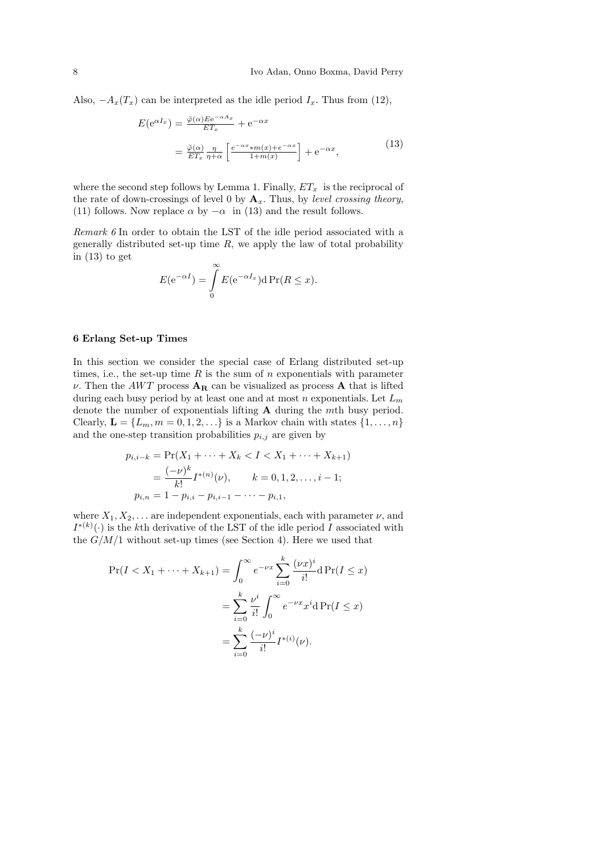Also,  $-A_x(T_x)$  can be interpreted as the idle period  $I_x$ . Thus from (12),

$$
E(e^{\alpha I_x}) = \frac{\tilde{\varphi}(\alpha) E e^{-\alpha A_x}}{ET_x} + e^{-\alpha x}
$$
  
= 
$$
\frac{\tilde{\varphi}(\alpha)}{ET_x} \frac{\eta}{\eta + \alpha} \left[ \frac{e^{-\alpha x} * m(x) + e^{-\alpha x}}{1 + m(x)} \right] + e^{-\alpha x},
$$
 (13)

where the second step follows by Lemma 1. Finally,  $ET_x$  is the reciprocal of the rate of down-crossings of level 0 by  $\mathbf{A}_x$ . Thus, by level crossing theory, (11) follows. Now replace  $\alpha$  by  $-\alpha$  in (13) and the result follows.

Remark 6 In order to obtain the LST of the idle period associated with a generally distributed set-up time  $R$ , we apply the law of total probability in (13) to get

$$
E(e^{-\alpha I}) = \int_{0}^{\infty} E(e^{-\alpha I_x}) d\Pr(R \le x).
$$

#### 6 Erlang Set-up Times

In this section we consider the special case of Erlang distributed set-up times, i.e., the set-up time  $R$  is the sum of  $n$  exponentials with parameter  $\nu$ . Then the AWT process  $A_R$  can be visualized as process A that is lifted during each busy period by at least one and at most n exponentials. Let  $L_m$ denote the number of exponentials lifting A during the mth busy period. Clearly,  $\mathbf{L} = \{L_m, m = 0, 1, 2, \ldots\}$  is a Markov chain with states  $\{1, \ldots, n\}$ and the one-step transition probabilities  $p_{i,j}$  are given by

$$
p_{i,i-k} = \Pr(X_1 + \dots + X_k < I < X_1 + \dots + X_{k+1})
$$
\n
$$
= \frac{(-\nu)^k}{k!} I^{*(n)}(\nu), \qquad k = 0, 1, 2, \dots, i-1;
$$
\n
$$
p_{i,n} = 1 - p_{i,i} - p_{i,i-1} - \dots - p_{i,1},
$$

where  $X_1, X_2, \ldots$  are independent exponentials, each with parameter  $\nu$ , and  $I^{*(k)}(\cdot)$  is the kth derivative of the LST of the idle period I associated with the  $G/M/1$  without set-up times (see Section 4). Here we used that

$$
\Pr(I < X_1 + \dots + X_{k+1}) = \int_0^\infty e^{-\nu x} \sum_{i=0}^k \frac{(\nu x)^i}{i!} d \Pr(I \le x)
$$
\n
$$
= \sum_{i=0}^k \frac{\nu^i}{i!} \int_0^\infty e^{-\nu x} x^i d \Pr(I \le x)
$$
\n
$$
= \sum_{i=0}^k \frac{(-\nu)^i}{i!} I^{*(i)}(\nu).
$$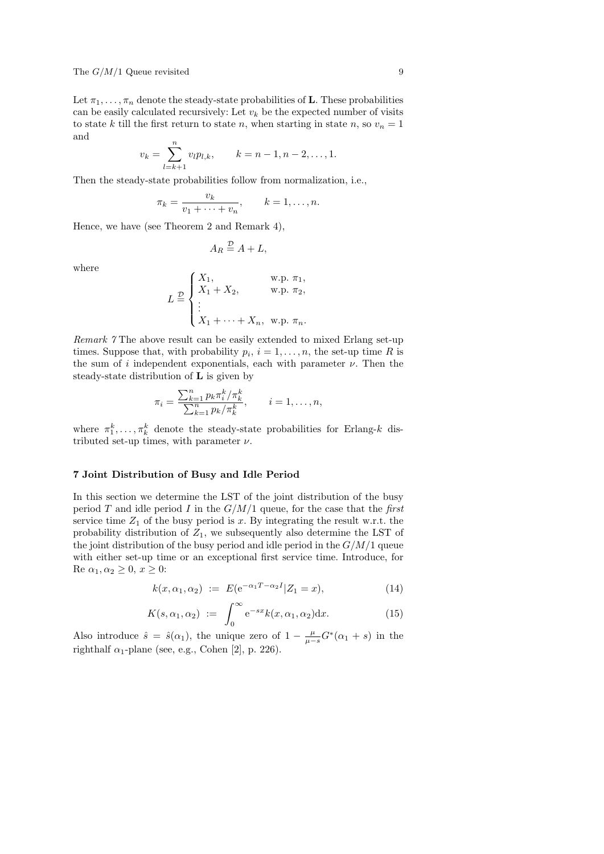Let  $\pi_1, \ldots, \pi_n$  denote the steady-state probabilities of **L**. These probabilities can be easily calculated recursively: Let  $v_k$  be the expected number of visits to state k till the first return to state n, when starting in state n, so  $v_n = 1$ and

$$
v_k = \sum_{l=k+1}^n v_l p_{l,k}, \qquad k = n-1, n-2, \dots, 1.
$$

Then the steady-state probabilities follow from normalization, i.e.,

$$
\pi_k = \frac{v_k}{v_1 + \dots + v_n}, \qquad k = 1, \dots, n.
$$

Hence, we have (see Theorem 2 and Remark 4),

$$
A_R \stackrel{\mathcal{D}}{=} A + L,
$$

where

$$
L \stackrel{\mathcal{D}}{=} \begin{cases} X_1, & \text{w.p. } \pi_1, \\ X_1 + X_2, & \text{w.p. } \pi_2, \\ \vdots \\ X_1 + \cdots + X_n, & \text{w.p. } \pi_n. \end{cases}
$$

Remark 7 The above result can be easily extended to mixed Erlang set-up times. Suppose that, with probability  $p_i$ ,  $i = 1, \ldots, n$ , the set-up time R is the sum of i independent exponentials, each with parameter  $\nu$ . Then the steady-state distribution of L is given by

$$
\pi_i = \frac{\sum_{k=1}^n p_k \pi_i^k / \pi_k^k}{\sum_{k=1}^n p_k / \pi_k^k}, \qquad i = 1, \dots, n,
$$

where  $\pi_1^k, \ldots, \pi_k^k$  denote the steady-state probabilities for Erlang-k distributed set-up times, with parameter  $\nu$ .

## 7 Joint Distribution of Busy and Idle Period

In this section we determine the LST of the joint distribution of the busy period T and idle period I in the  $G/M/1$  queue, for the case that the first service time  $Z_1$  of the busy period is x. By integrating the result w.r.t. the probability distribution of  $Z_1$ , we subsequently also determine the LST of the joint distribution of the busy period and idle period in the  $G/M/1$  queue with either set-up time or an exceptional first service time. Introduce, for Re  $\alpha_1, \alpha_2 \geq 0, x \geq 0$ :

$$
k(x, \alpha_1, \alpha_2) := E(e^{-\alpha_1 T - \alpha_2 I} | Z_1 = x), \tag{14}
$$

$$
K(s, \alpha_1, \alpha_2) := \int_0^\infty e^{-sx} k(x, \alpha_1, \alpha_2) dx.
$$
 (15)

Also introduce  $\hat{s} = \hat{s}(\alpha_1)$ , the unique zero of  $1 - \frac{\mu}{\mu - s} G^*(\alpha_1 + s)$  in the righthalf  $\alpha_1$ -plane (see, e.g., Cohen [2], p. 226).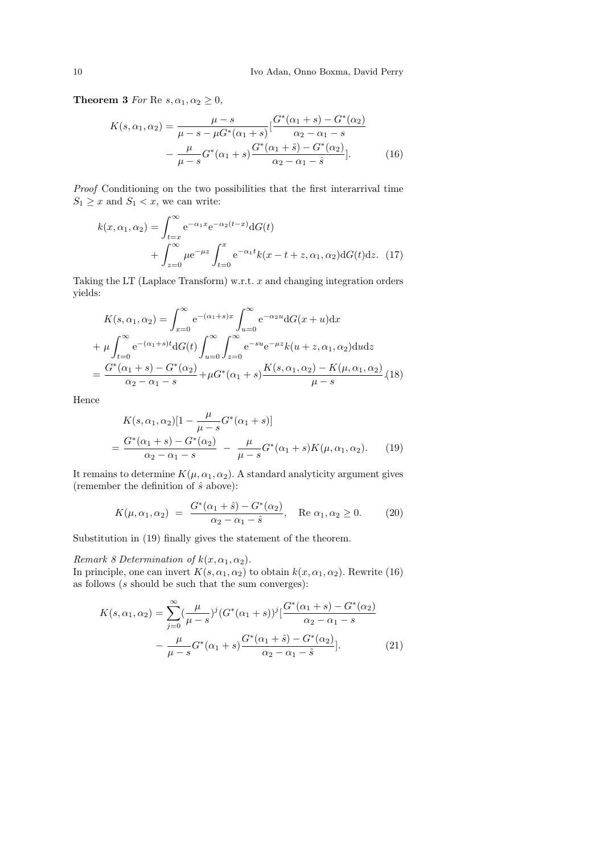**Theorem 3** For Re  $s, \alpha_1, \alpha_2 \geq 0$ ,

$$
K(s, \alpha_1, \alpha_2) = \frac{\mu - s}{\mu - s - \mu G^*(\alpha_1 + s)} \left[ \frac{G^*(\alpha_1 + s) - G^*(\alpha_2)}{\alpha_2 - \alpha_1 - s} - \frac{\mu}{\mu - s} G^*(\alpha_1 + s) \frac{G^*(\alpha_1 + s) - G^*(\alpha_2)}{\alpha_2 - \alpha_1 - s} \right].
$$
 (16)

Proof Conditioning on the two possibilities that the first interarrival time  $S_1 \geq x$  and  $S_1 < x$ , we can write:

$$
k(x, \alpha_1, \alpha_2) = \int_{t=x}^{\infty} e^{-\alpha_1 x} e^{-\alpha_2 (t-x)} dG(t)
$$
  
+ 
$$
\int_{z=0}^{\infty} \mu e^{-\mu z} \int_{t=0}^{x} e^{-\alpha_1 t} k(x - t + z, \alpha_1, \alpha_2) dG(t) dz.
$$
 (17)

Taking the LT (Laplace Transform) w.r.t.  $x$  and changing integration orders yields:

$$
K(s, \alpha_1, \alpha_2) = \int_{x=0}^{\infty} e^{-(\alpha_1 + s)x} \int_{u=0}^{\infty} e^{-\alpha_2 u} dG(x+u) dx
$$
  
+  $\mu \int_{t=0}^{\infty} e^{-(\alpha_1 + s)t} dG(t) \int_{u=0}^{\infty} \int_{z=0}^{\infty} e^{-su} e^{-\mu z} k(u+z, \alpha_1, \alpha_2) du dz$   
=  $\frac{G^*(\alpha_1 + s) - G^*(\alpha_2)}{\alpha_2 - \alpha_1 - s} + \mu G^*(\alpha_1 + s) \frac{K(s, \alpha_1, \alpha_2) - K(\mu, \alpha_1, \alpha_2)}{\mu - s}.$  (18)

Hence

$$
K(s, \alpha_1, \alpha_2)[1 - \frac{\mu}{\mu - s} G^*(\alpha_1 + s)]
$$
  
= 
$$
\frac{G^*(\alpha_1 + s) - G^*(\alpha_2)}{\alpha_2 - \alpha_1 - s} - \frac{\mu}{\mu - s} G^*(\alpha_1 + s) K(\mu, \alpha_1, \alpha_2).
$$
 (19)

It remains to determine  $K(\mu, \alpha_1, \alpha_2)$ . A standard analyticity argument gives (remember the definition of  $\hat{s}$  above):

$$
K(\mu, \alpha_1, \alpha_2) = \frac{G^*(\alpha_1 + \hat{s}) - G^*(\alpha_2)}{\alpha_2 - \alpha_1 - \hat{s}}, \quad \text{Re } \alpha_1, \alpha_2 \ge 0. \tag{20}
$$

Substitution in (19) finally gives the statement of the theorem.

Remark 8 Determination of  $k(x, \alpha_1, \alpha_2)$ .

In principle, one can invert  $K(s, \alpha_1, \alpha_2)$  to obtain  $k(x, \alpha_1, \alpha_2)$ . Rewrite (16) as follows  $(s \text{ should be such that the sum converges})$ :

$$
K(s, \alpha_1, \alpha_2) = \sum_{j=0}^{\infty} \left(\frac{\mu}{\mu - s}\right)^j (G^*(\alpha_1 + s))^j \left[\frac{G^*(\alpha_1 + s) - G^*(\alpha_2)}{\alpha_2 - \alpha_1 - s}\right]
$$

$$
-\frac{\mu}{\mu - s} G^*(\alpha_1 + s) \frac{G^*(\alpha_1 + s) - G^*(\alpha_2)}{\alpha_2 - \alpha_1 - s}].
$$
(21)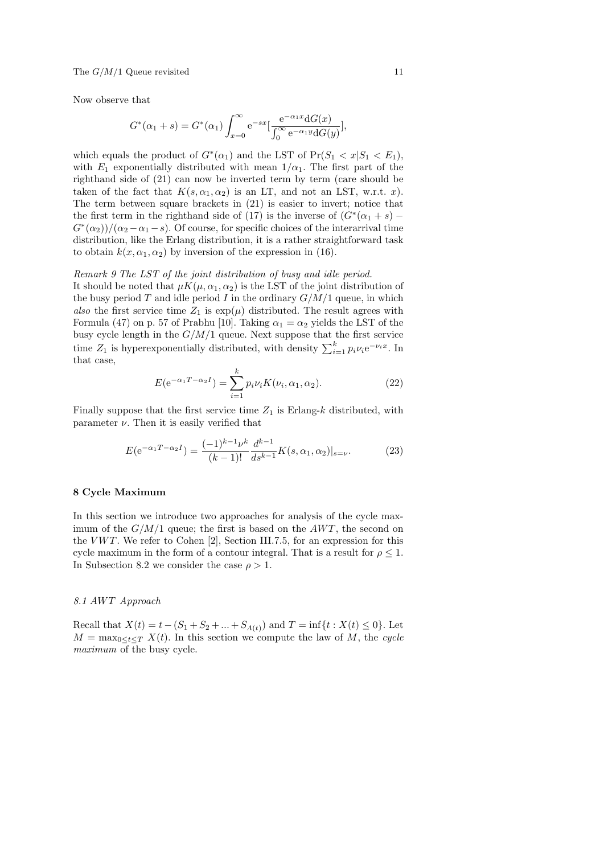Now observe that

$$
G^{*}(\alpha_{1}+s) = G^{*}(\alpha_{1}) \int_{x=0}^{\infty} e^{-sx} \left[ \frac{e^{-\alpha_{1}x} dG(x)}{\int_{0}^{\infty} e^{-\alpha_{1}y} dG(y)} \right],
$$

which equals the product of  $G^*(\alpha_1)$  and the LST of  $Pr(S_1 < x | S_1 < E_1)$ , with  $E_1$  exponentially distributed with mean  $1/\alpha_1$ . The first part of the righthand side of (21) can now be inverted term by term (care should be taken of the fact that  $K(s, \alpha_1, \alpha_2)$  is an LT, and not an LST, w.r.t. x). The term between square brackets in (21) is easier to invert; notice that the first term in the righthand side of (17) is the inverse of  $(G^*(\alpha_1 + s) G^*(\alpha_2)$ / $(\alpha_2 - \alpha_1 - s)$ . Of course, for specific choices of the interarrival time distribution, like the Erlang distribution, it is a rather straightforward task to obtain  $k(x, \alpha_1, \alpha_2)$  by inversion of the expression in (16).

## Remark 9 The LST of the joint distribution of busy and idle period.

It should be noted that  $\mu K(\mu, \alpha_1, \alpha_2)$  is the LST of the joint distribution of the busy period T and idle period I in the ordinary  $G/M/1$  queue, in which also the first service time  $Z_1$  is  $\exp(\mu)$  distributed. The result agrees with Formula (47) on p. 57 of Prabhu [10]. Taking  $\alpha_1 = \alpha_2$  yields the LST of the busy cycle length in the  $G/M/1$  queue. Next suppose that the first service time  $Z_1$  is hyperexponentially distributed, with density  $\sum_{i=1}^{k} p_i \nu_i e^{-\nu_i x}$ . In that case,

$$
E(e^{-\alpha_1 T - \alpha_2 I}) = \sum_{i=1}^{k} p_i \nu_i K(\nu_i, \alpha_1, \alpha_2).
$$
 (22)

Finally suppose that the first service time  $Z_1$  is Erlang- $k$  distributed, with parameter  $\nu$ . Then it is easily verified that

$$
E(e^{-\alpha_1 T - \alpha_2 I}) = \frac{(-1)^{k-1} \nu^k}{(k-1)!} \frac{d^{k-1}}{ds^{k-1}} K(s, \alpha_1, \alpha_2)|_{s=\nu}.
$$
 (23)

## 8 Cycle Maximum

In this section we introduce two approaches for analysis of the cycle maximum of the  $G/M/1$  queue; the first is based on the  $AWT$ , the second on the  $VWT$ . We refer to Cohen [2], Section III.7.5, for an expression for this cycle maximum in the form of a contour integral. That is a result for  $\rho \leq 1$ . In Subsection 8.2 we consider the case  $\rho > 1$ .

## 8.1 AWT Approach

Recall that  $X(t) = t - (S_1 + S_2 + ... + S_{\Lambda(t)})$  and  $T = \inf\{t : X(t) \leq 0\}$ . Let  $M = \max_{0 \leq t \leq T} X(t)$ . In this section we compute the law of M, the cycle maximum of the busy cycle.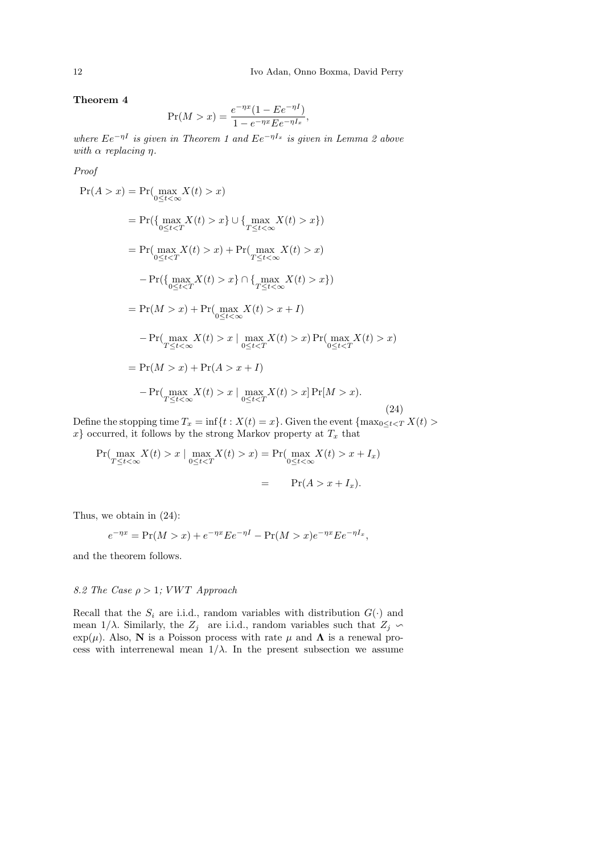Theorem 4

$$
\Pr(M > x) = \frac{e^{-\eta x} (1 - E e^{-\eta I})}{1 - e^{-\eta x} E e^{-\eta I_x}},
$$

where  $Ee^{-\eta I}$  is given in Theorem 1 and  $Ee^{-\eta I_x}$  is given in Lemma 2 above with  $\alpha$  replacing  $\eta$ .

Proof

$$
Pr(A > x) = Pr(\max_{0 \le t < \infty} X(t) > x)
$$
  
= 
$$
Pr(\{\max_{0 \le t < T} X(t) > x\} \cup \{\max_{T \le t < \infty} X(t) > x\})
$$
  
= 
$$
Pr(\max_{0 \le t < T} X(t) > x) + Pr(\max_{T \le t < \infty} X(t) > x)
$$
  
- 
$$
Pr(\{\max_{0 \le t < T} X(t) > x\} \cap \{\max_{T \le t < \infty} X(t) > x\})
$$
  
= 
$$
Pr(M > x) + Pr(\max_{0 \le t < \infty} X(t) > x + I)
$$
  
- 
$$
Pr(\max_{T \le t < \infty} X(t) > x | \max_{0 \le t < T} X(t) > x) Pr(\max_{0 \le t < T} X(t) > x)
$$
  
= 
$$
Pr(M > x) + Pr(A > x + I)
$$
  
- 
$$
Pr(\max_{T \le t < \infty} X(t) > x | \max_{0 \le t < T} X(t) > x] Pr(M > x).
$$
 (24)

Define the stopping time  $T_x = \inf\{t : X(t) = x\}$ . Given the event  $\{\max_{0 \le t < T} X(t) >$  $x\}$  occurred, it follows by the strong Markov property at  $T_x$  that

$$
\Pr(\max_{T \le t < \infty} X(t) > x \mid \max_{0 \le t < T} X(t) > x) = \Pr(\max_{0 \le t < \infty} X(t) > x + I_x) \\
= \Pr(A > x + I_x).
$$

Thus, we obtain in (24):

$$
e^{-\eta x} = \Pr(M > x) + e^{-\eta x} E e^{-\eta I} - \Pr(M > x) e^{-\eta x} E e^{-\eta I_x},
$$

and the theorem follows.

## 8.2 The Case  $\rho > 1$ ; VWT Approach

Recall that the  $S_i$  are i.i.d., random variables with distribution  $G(\cdot)$  and mean  $1/\lambda$ . Similarly, the  $Z_j$  are i.i.d., random variables such that  $Z_j \backsim$ exp( $\mu$ ). Also, N is a Poisson process with rate  $\mu$  and  $\Lambda$  is a renewal process with interrenewal mean  $1/\lambda$ . In the present subsection we assume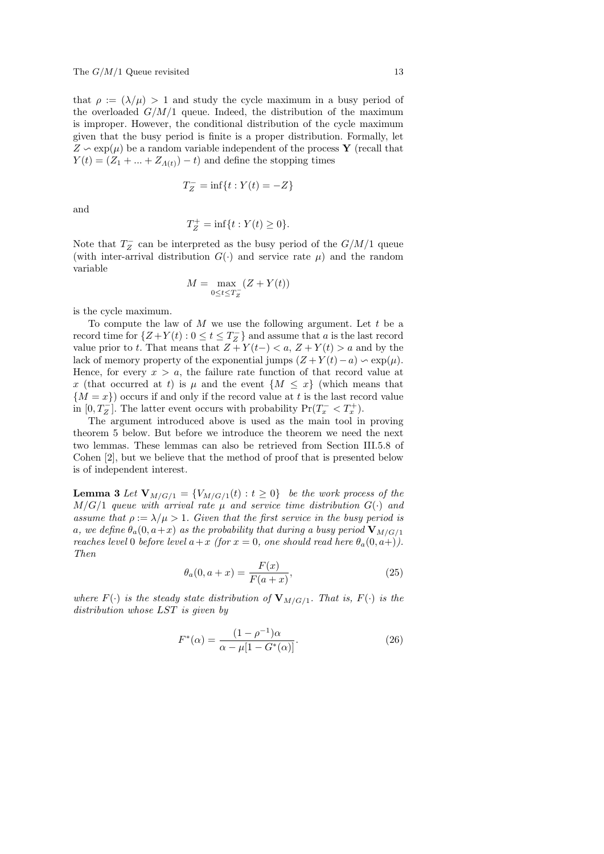that  $\rho := (\lambda/\mu) > 1$  and study the cycle maximum in a busy period of the overloaded  $G/M/1$  queue. Indeed, the distribution of the maximum is improper. However, the conditional distribution of the cycle maximum given that the busy period is finite is a proper distribution. Formally, let  $Z \sim \exp(\mu)$  be a random variable independent of the process Y (recall that  $Y(t) = (Z_1 + ... + Z_{\Lambda(t)}) - t$  and define the stopping times

$$
T_Z^- = \inf\{t : Y(t) = -Z\}
$$

and

$$
T_Z^+ = \inf\{t : Y(t) \ge 0\}.
$$

Note that  $T_Z^-$  can be interpreted as the busy period of the  $G/M/1$  queue (with inter-arrival distribution  $G(\cdot)$  and service rate  $\mu$ ) and the random variable

$$
M = \max_{0 \le t \le T_Z^-} (Z + Y(t))
$$

is the cycle maximum.

To compute the law of  $M$  we use the following argument. Let  $t$  be a record time for  $\{Z+Y(t): 0 \le t \le T_Z^-\}$  and assume that a is the last record value prior to t. That means that  $Z + Y(t-) < a, Z + Y(t) > a$  and by the lack of memory property of the exponential jumps  $(Z + Y(t) - a) \sim \exp(\mu)$ . Hence, for every  $x > a$ , the failure rate function of that record value at x (that occurred at t) is  $\mu$  and the event  $\{M \leq x\}$  (which means that  ${M = x}$  occurs if and only if the record value at t is the last record value in  $[0, T_Z^-]$ . The latter event occurs with probability  $Pr(T_x^- < T_x^+)$ .

The argument introduced above is used as the main tool in proving theorem 5 below. But before we introduce the theorem we need the next two lemmas. These lemmas can also be retrieved from Section III.5.8 of Cohen [2], but we believe that the method of proof that is presented below is of independent interest.

**Lemma 3** Let  $\mathbf{V}_{M/G/1} = \{V_{M/G/1}(t) : t \geq 0\}$  be the work process of the  $M/G/1$  queue with arrival rate  $\mu$  and service time distribution  $G(\cdot)$  and assume that  $\rho := \lambda/\mu > 1$ . Given that the first service in the busy period is a, we define  $\theta_a(0, a+x)$  as the probability that during a busy period  $V_{M/G/1}$ reaches level 0 before level  $a+x$  (for  $x=0$ , one should read here  $\theta_a(0, a+)$ ). Then

$$
\theta_a(0, a+x) = \frac{F(x)}{F(a+x)},\tag{25}
$$

where  $F(\cdot)$  is the steady state distribution of  $V_{M/G/1}$ . That is,  $F(\cdot)$  is the distribution whose LST is given by

$$
F^*(\alpha) = \frac{(1 - \rho^{-1})\alpha}{\alpha - \mu[1 - G^*(\alpha)]}.
$$
 (26)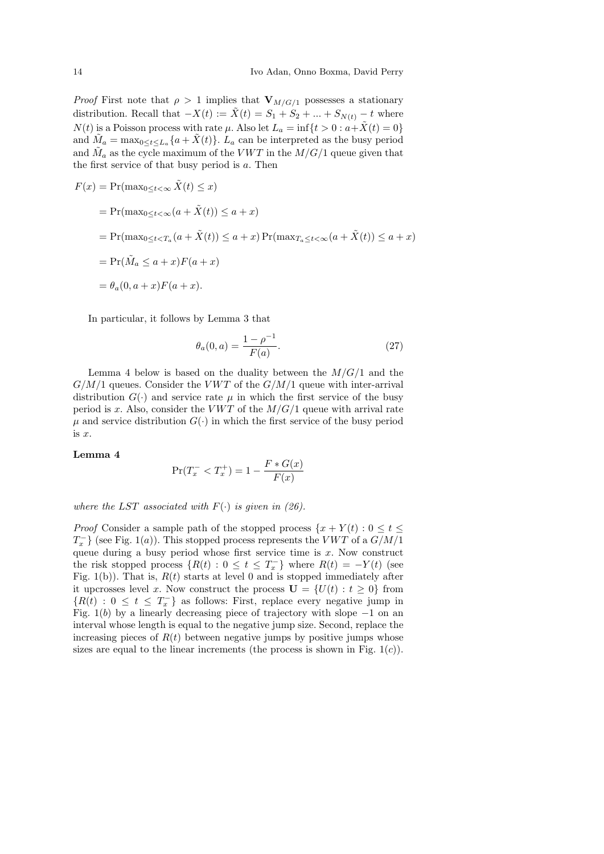*Proof* First note that  $\rho > 1$  implies that  $V_{M/G/1}$  possesses a stationary distribution. Recall that  $-X(t) := X(t) = S_1 + S_2 + ... + S_{N(t)} - t$  where  $N(t)$  is a Poisson process with rate  $\mu$ . Also let  $L_a = \inf\{t > 0 : a + \tilde{X}(t) = 0\}$ and  $\tilde{M}_a = \max_{0 \le t \le L_a} \{a + \tilde{X}(t)\}\)$ .  $L_a$  can be interpreted as the busy period and  $\tilde{M}_a$  as the cycle maximum of the VWT in the  $M/G/1$  queue given that the first service of that busy period is a. Then

$$
F(x) = \Pr(\max_{0 \le t < \infty} \tilde{X}(t) \le x)
$$
\n
$$
= \Pr(\max_{0 \le t < \infty} (a + \tilde{X}(t)) \le a + x)
$$
\n
$$
= \Pr(\max_{0 \le t < T_a} (a + \tilde{X}(t)) \le a + x) \Pr(\max_{T_a \le t < \infty} (a + \tilde{X}(t)) \le a + x)
$$
\n
$$
= \Pr(\tilde{M}_a \le a + x) F(a + x)
$$
\n
$$
= \theta_a(0, a + x) F(a + x).
$$

In particular, it follows by Lemma 3 that

$$
\theta_a(0, a) = \frac{1 - \rho^{-1}}{F(a)}.\tag{27}
$$

Lemma 4 below is based on the duality between the  $M/G/1$  and the  $G/M/1$  queues. Consider the VWT of the  $G/M/1$  queue with inter-arrival distribution  $G(\cdot)$  and service rate  $\mu$  in which the first service of the busy period is x. Also, consider the VWT of the  $M/G/1$  queue with arrival rate  $\mu$  and service distribution  $G(\cdot)$  in which the first service of the busy period is x.

#### Lemma 4

$$
\Pr(T_x^- < T_x^+) = 1 - \frac{F * G(x)}{F(x)}
$$

where the LST associated with  $F(\cdot)$  is given in (26).

*Proof* Consider a sample path of the stopped process  $\{x + Y(t) : 0 \le t \le t\}$  $T_x^-\}$  (see Fig. 1(a)). This stopped process represents the  $VWT$  of a  $G/M/1$ queue during a busy period whose first service time is  $x$ . Now construct the risk stopped process  $\{R(t): 0 \le t \le T_x^-\}$  where  $R(t) = -Y(t)$  (see Fig. 1(b)). That is,  $R(t)$  starts at level 0 and is stopped immediately after it upcrosses level x. Now construct the process  $\mathbf{U} = \{U(t): t \geq 0\}$  from  ${R(t) : 0 \le t \le T_x^-}$  as follows: First, replace every negative jump in Fig.  $1(b)$  by a linearly decreasing piece of trajectory with slope  $-1$  on an interval whose length is equal to the negative jump size. Second, replace the increasing pieces of  $R(t)$  between negative jumps by positive jumps whose sizes are equal to the linear increments (the process is shown in Fig.  $1(c)$ ).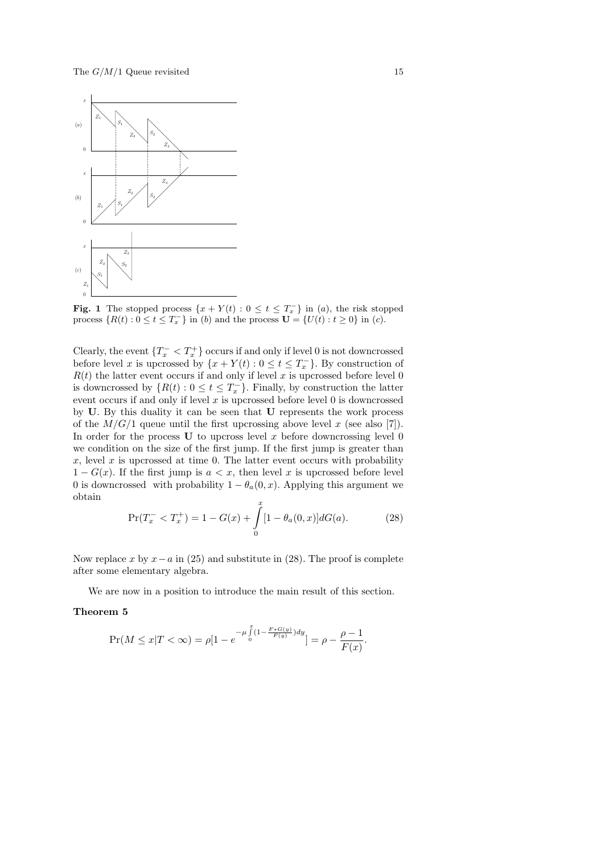

**Fig. 1** The stopped process  $\{x + Y(t) : 0 \le t \le T_x^-\}$  in (a), the risk stopped process  $\{R(t): 0 \le t \le T_x^-\}$  in (b) and the process  $\mathbf{U} = \{U(t): t \ge 0\}$  in (c).

Clearly, the event  $\{T_x^- \lt T_x^+\}$  occurs if and only if level 0 is not downcrossed before level x is upcrossed by  $\{x + Y(t) : 0 \le t \le T_x^-\}$ . By construction of  $R(t)$  the latter event occurs if and only if level x is upcrossed before level 0 is downcrossed by  $\{R(t): 0 \le t \le T_x^-\}$ . Finally, by construction the latter event occurs if and only if level  $x$  is upcrossed before level  $0$  is downcrossed by U. By this duality it can be seen that U represents the work process of the  $M/G/1$  queue until the first upcrossing above level x (see also [7]). In order for the process  $U$  to upcross level x before downcrossing level 0 we condition on the size of the first jump. If the first jump is greater than x, level x is upcrossed at time 0. The latter event occurs with probability  $1 - G(x)$ . If the first jump is  $a < x$ , then level x is upcrossed before level 0 is downcrossed with probability  $1 - \theta_a(0, x)$ . Applying this argument we obtain

$$
\Pr(T_x^- < T_x^+) = 1 - G(x) + \int_0^x [1 - \theta_a(0, x)] dG(a). \tag{28}
$$

Now replace x by  $x-a$  in (25) and substitute in (28). The proof is complete after some elementary algebra.

We are now in a position to introduce the main result of this section.

#### Theorem 5

$$
\Pr(M \le x | T < \infty) = \rho [1 - e^{-\mu \int_0^x (1 - \frac{F * G(y)}{F(y)}) dy}] = \rho - \frac{\rho - 1}{F(x)}.
$$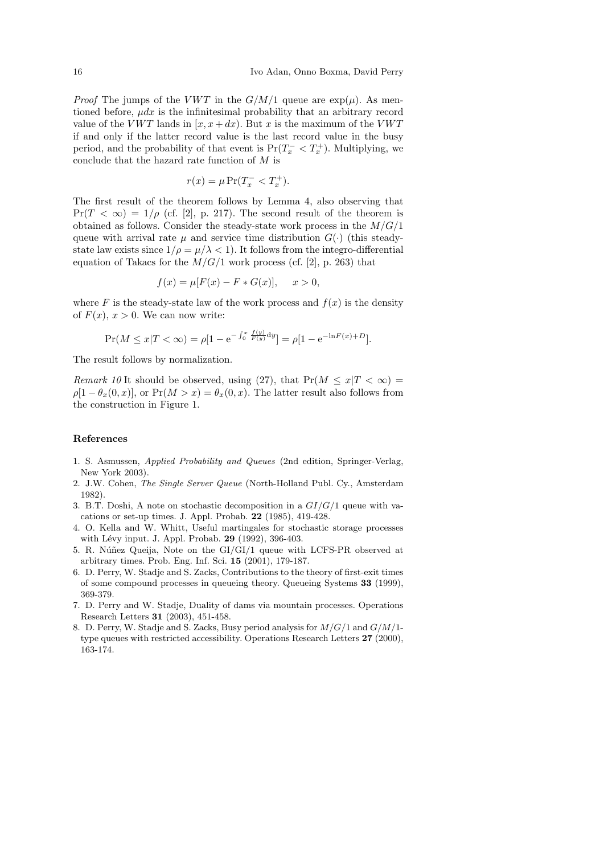*Proof* The jumps of the *VWT* in the  $G/M/1$  queue are  $\exp(\mu)$ . As mentioned before,  $\mu dx$  is the infinitesimal probability that an arbitrary record value of the VWT lands in  $[x, x+dx)$ . But x is the maximum of the VWT if and only if the latter record value is the last record value in the busy period, and the probability of that event is  $Pr(T_x^- < T_x^+)$ . Multiplying, we conclude that the hazard rate function of  $M$  is

$$
r(x) = \mu \Pr(T_x^- < T_x^+).
$$

The first result of the theorem follows by Lemma 4, also observing that  $Pr(T < \infty) = 1/\rho$  (cf. [2], p. 217). The second result of the theorem is obtained as follows. Consider the steady-state work process in the  $M/G/1$ queue with arrival rate  $\mu$  and service time distribution  $G(\cdot)$  (this steadystate law exists since  $1/\rho = \mu/\lambda < 1$ . It follows from the integro-differential equation of Takacs for the  $M/G/1$  work process (cf. [2], p. 263) that

$$
f(x) = \mu[F(x) - F * G(x)], \quad x > 0,
$$

where F is the steady-state law of the work process and  $f(x)$  is the density of  $F(x)$ ,  $x > 0$ . We can now write:

$$
\Pr(M \le x | T < \infty) = \rho [1 - e^{-\int_0^x \frac{f(y)}{F(y)} dy}] = \rho [1 - e^{-\ln F(x) + D}].
$$

The result follows by normalization.

*Remark 10* It should be observed, using (27), that  $Pr(M \le x | T < \infty)$  $\rho[1 - \theta_x(0, x)]$ , or  $Pr(M > x) = \theta_x(0, x)$ . The latter result also follows from the construction in Figure 1.

#### References

- 1. S. Asmussen, Applied Probability and Queues (2nd edition, Springer-Verlag, New York 2003).
- 2. J.W. Cohen, The Single Server Queue (North-Holland Publ. Cy., Amsterdam 1982).
- 3. B.T. Doshi, A note on stochastic decomposition in a  $GI/G/1$  queue with vacations or set-up times. J. Appl. Probab. 22 (1985), 419-428.
- 4. O. Kella and W. Whitt, Useful martingales for stochastic storage processes with Lévy input. J. Appl. Probab. 29 (1992), 396-403.
- 5. R. Núñez Queija, Note on the GI/GI/1 queue with LCFS-PR observed at arbitrary times. Prob. Eng. Inf. Sci. 15 (2001), 179-187.
- 6. D. Perry, W. Stadje and S. Zacks, Contributions to the theory of first-exit times of some compound processes in queueing theory. Queueing Systems 33 (1999), 369-379.
- 7. D. Perry and W. Stadje, Duality of dams via mountain processes. Operations Research Letters 31 (2003), 451-458.
- 8. D. Perry, W. Stadje and S. Zacks, Busy period analysis for M/G/1 and G/M/1 type queues with restricted accessibility. Operations Research Letters 27 (2000), 163-174.